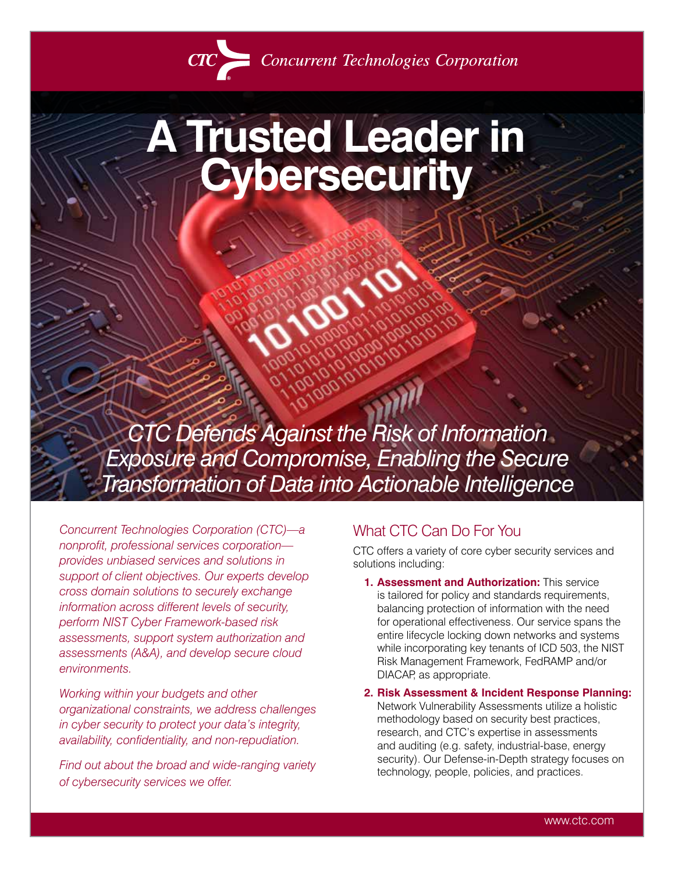

Concurrent Technologies Corporation

# **A Trusted Leader in Cybersecurity**

*CTC Defends Against the Risk of Information Exposure and Compromise, Enabling the Secure Transformation of Data into Actionable Intelligence*

*Concurrent Technologies Corporation (CTC)—a nonprofit, professional services corporation provides unbiased services and solutions in support of client objectives. Our experts develop cross domain solutions to securely exchange information across different levels of security, perform NIST Cyber Framework-based risk assessments, support system authorization and assessments (A&A), and develop secure cloud environments.* 

*Working within your budgets and other organizational constraints, we address challenges in cyber security to protect your data's integrity, availability, confidentiality, and non-repudiation.* 

*Find out about the broad and wide-ranging variety of cybersecurity services we offer.*

### What CTC Can Do For You

CTC offers a variety of core cyber security services and solutions including:

- **1. Assessment and Authorization:** This service is tailored for policy and standards requirements, balancing protection of information with the need for operational effectiveness. Our service spans the entire lifecycle locking down networks and systems while incorporating key tenants of ICD 503, the NIST Risk Management Framework, FedRAMP and/or DIACAP, as appropriate.
- **2. Risk Assessment & Incident Response Planning:** Network Vulnerability Assessments utilize a holistic methodology based on security best practices, research, and CTC's expertise in assessments and auditing (e.g. safety, industrial-base, energy security). Our Defense-in-Depth strategy focuses on technology, people, policies, and practices.